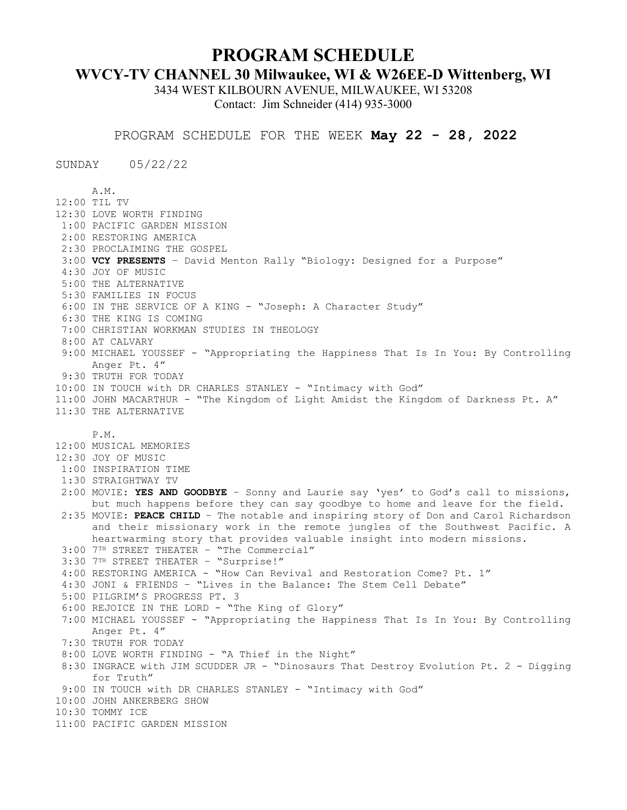## **PROGRAM SCHEDULE**

## **WVCY-TV CHANNEL 30 Milwaukee, WI & W26EE-D Wittenberg, WI**

3434 WEST KILBOURN AVENUE, MILWAUKEE, WI 53208 Contact: Jim Schneider (414) 935-3000

PROGRAM SCHEDULE FOR THE WEEK **May 22 - 28, 2022**

SUNDAY 05/22/22

A.M. 12:00 TIL TV 12:30 LOVE WORTH FINDING 1:00 PACIFIC GARDEN MISSION 2:00 RESTORING AMERICA 2:30 PROCLAIMING THE GOSPEL 3:00 **VCY PRESENTS** – David Menton Rally "Biology: Designed for a Purpose" 4:30 JOY OF MUSIC 5:00 THE ALTERNATIVE 5:30 FAMILIES IN FOCUS 6:00 IN THE SERVICE OF A KING - "Joseph: A Character Study" 6:30 THE KING IS COMING 7:00 CHRISTIAN WORKMAN STUDIES IN THEOLOGY 8:00 AT CALVARY 9:00 MICHAEL YOUSSEF - "Appropriating the Happiness That Is In You: By Controlling Anger Pt. 4" 9:30 TRUTH FOR TODAY 10:00 IN TOUCH with DR CHARLES STANLEY - "Intimacy with God" 11:00 JOHN MACARTHUR - "The Kingdom of Light Amidst the Kingdom of Darkness Pt. A" 11:30 THE ALTERNATIVE P.M. 12:00 MUSICAL MEMORIES 12:30 JOY OF MUSIC 1:00 INSPIRATION TIME 1:30 STRAIGHTWAY TV 2:00 MOVIE: **YES AND GOODBYE** – Sonny and Laurie say 'yes' to God's call to missions, but much happens before they can say goodbye to home and leave for the field. 2:35 MOVIE: **PEACE CHILD** – The notable and inspiring story of Don and Carol Richardson and their missionary work in the remote jungles of the Southwest Pacific. A heartwarming story that provides valuable insight into modern missions. 3:00 7TH STREET THEATER – "The Commercial" 3:30 7TH STREET THEATER – "Surprise!" 4:00 RESTORING AMERICA - "How Can Revival and Restoration Come? Pt. 1" 4:30 JONI & FRIENDS – "Lives in the Balance: The Stem Cell Debate" 5:00 PILGRIM'S PROGRESS PT. 3 6:00 REJOICE IN THE LORD - "The King of Glory" 7:00 MICHAEL YOUSSEF - "Appropriating the Happiness That Is In You: By Controlling Anger Pt. 4" 7:30 TRUTH FOR TODAY 8:00 LOVE WORTH FINDING - "A Thief in the Night" 8:30 INGRACE with JIM SCUDDER JR - "Dinosaurs That Destroy Evolution Pt. 2 - Digging for Truth" 9:00 IN TOUCH with DR CHARLES STANLEY - "Intimacy with God" 10:00 JOHN ANKERBERG SHOW 10:30 TOMMY ICE 11:00 PACIFIC GARDEN MISSION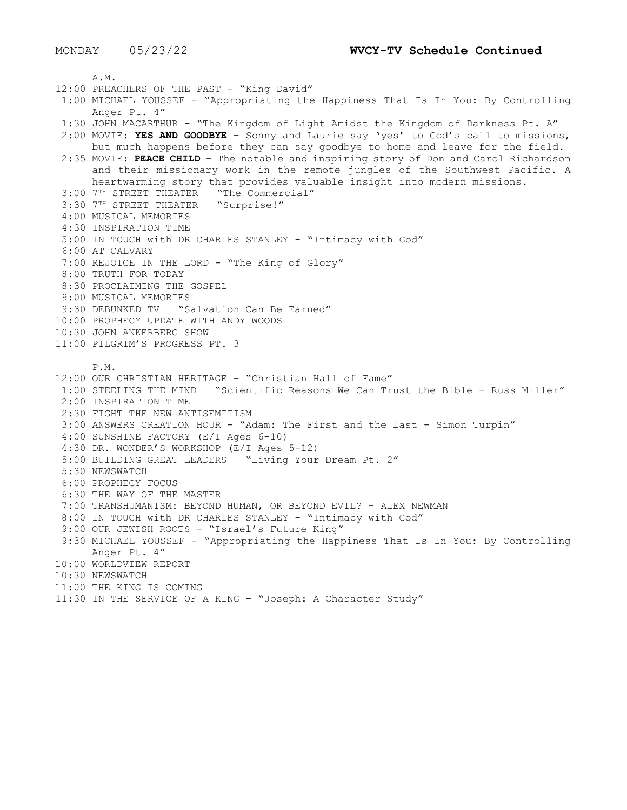A.M. 12:00 PREACHERS OF THE PAST - "King David" 1:00 MICHAEL YOUSSEF - "Appropriating the Happiness That Is In You: By Controlling Anger Pt. 4" 1:30 JOHN MACARTHUR - "The Kingdom of Light Amidst the Kingdom of Darkness Pt. A" 2:00 MOVIE: **YES AND GOODBYE** – Sonny and Laurie say 'yes' to God's call to missions, but much happens before they can say goodbye to home and leave for the field. 2:35 MOVIE: **PEACE CHILD** – The notable and inspiring story of Don and Carol Richardson and their missionary work in the remote jungles of the Southwest Pacific. A heartwarming story that provides valuable insight into modern missions. 3:00 7TH STREET THEATER – "The Commercial" 3:30 7TH STREET THEATER – "Surprise!" 4:00 MUSICAL MEMORIES 4:30 INSPIRATION TIME 5:00 IN TOUCH with DR CHARLES STANLEY - "Intimacy with God" 6:00 AT CALVARY 7:00 REJOICE IN THE LORD - "The King of Glory" 8:00 TRUTH FOR TODAY 8:30 PROCLAIMING THE GOSPEL 9:00 MUSICAL MEMORIES 9:30 DEBUNKED TV – "Salvation Can Be Earned" 10:00 PROPHECY UPDATE WITH ANDY WOODS 10:30 JOHN ANKERBERG SHOW 11:00 PILGRIM'S PROGRESS PT. 3 P.M. 12:00 OUR CHRISTIAN HERITAGE – "Christian Hall of Fame" 1:00 STEELING THE MIND – "Scientific Reasons We Can Trust the Bible - Russ Miller" 2:00 INSPIRATION TIME 2:30 FIGHT THE NEW ANTISEMITISM 3:00 ANSWERS CREATION HOUR - "Adam: The First and the Last - Simon Turpin" 4:00 SUNSHINE FACTORY (E/I Ages 6-10) 4:30 DR. WONDER'S WORKSHOP (E/I Ages 5-12) 5:00 BUILDING GREAT LEADERS – "Living Your Dream Pt. 2" 5:30 NEWSWATCH 6:00 PROPHECY FOCUS 6:30 THE WAY OF THE MASTER 7:00 TRANSHUMANISM: BEYOND HUMAN, OR BEYOND EVIL? – ALEX NEWMAN 8:00 IN TOUCH with DR CHARLES STANLEY - "Intimacy with God" 9:00 OUR JEWISH ROOTS - "Israel's Future King" 9:30 MICHAEL YOUSSEF - "Appropriating the Happiness That Is In You: By Controlling Anger Pt. 4" 10:00 WORLDVIEW REPORT 10:30 NEWSWATCH 11:00 THE KING IS COMING 11:30 IN THE SERVICE OF A KING - "Joseph: A Character Study"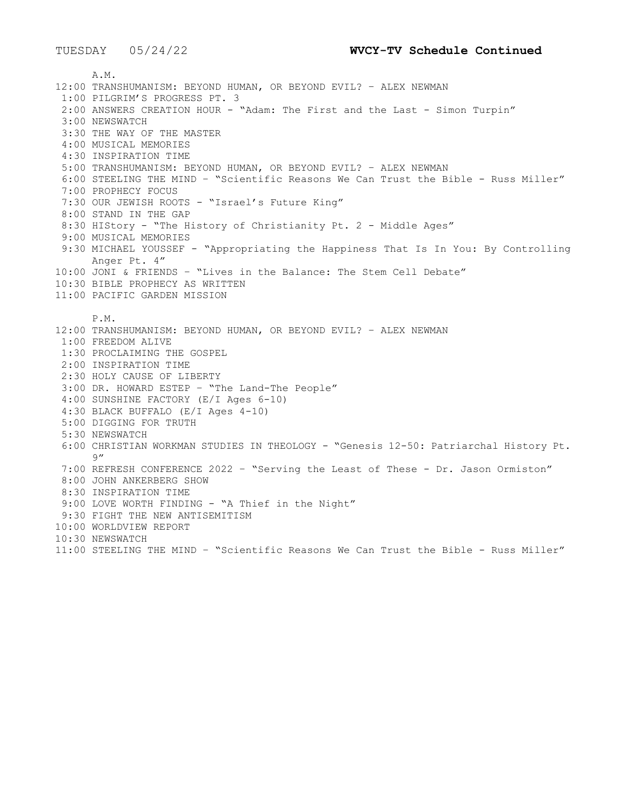A.M. 12:00 TRANSHUMANISM: BEYOND HUMAN, OR BEYOND EVIL? – ALEX NEWMAN 1:00 PILGRIM'S PROGRESS PT. 3 2:00 ANSWERS CREATION HOUR - "Adam: The First and the Last - Simon Turpin" 3:00 NEWSWATCH 3:30 THE WAY OF THE MASTER 4:00 MUSICAL MEMORIES 4:30 INSPIRATION TIME 5:00 TRANSHUMANISM: BEYOND HUMAN, OR BEYOND EVIL? – ALEX NEWMAN 6:00 STEELING THE MIND – "Scientific Reasons We Can Trust the Bible - Russ Miller" 7:00 PROPHECY FOCUS 7:30 OUR JEWISH ROOTS - "Israel's Future King" 8:00 STAND IN THE GAP 8:30 HIStory - "The History of Christianity Pt. 2 - Middle Ages" 9:00 MUSICAL MEMORIES 9:30 MICHAEL YOUSSEF - "Appropriating the Happiness That Is In You: By Controlling Anger Pt. 4" 10:00 JONI & FRIENDS – "Lives in the Balance: The Stem Cell Debate" 10:30 BIBLE PROPHECY AS WRITTEN 11:00 PACIFIC GARDEN MISSION P.M. 12:00 TRANSHUMANISM: BEYOND HUMAN, OR BEYOND EVIL? – ALEX NEWMAN 1:00 FREEDOM ALIVE 1:30 PROCLAIMING THE GOSPEL 2:00 INSPIRATION TIME 2:30 HOLY CAUSE OF LIBERTY 3:00 DR. HOWARD ESTEP – "The Land-The People" 4:00 SUNSHINE FACTORY (E/I Ages 6-10) 4:30 BLACK BUFFALO (E/I Ages 4-10) 5:00 DIGGING FOR TRUTH 5:30 NEWSWATCH 6:00 CHRISTIAN WORKMAN STUDIES IN THEOLOGY - "Genesis 12-50: Patriarchal History Pt.  $Q''$ 7:00 REFRESH CONFERENCE 2022 – "Serving the Least of These - Dr. Jason Ormiston" 8:00 JOHN ANKERBERG SHOW 8:30 INSPIRATION TIME 9:00 LOVE WORTH FINDING - "A Thief in the Night" 9:30 FIGHT THE NEW ANTISEMITISM 10:00 WORLDVIEW REPORT 10:30 NEWSWATCH 11:00 STEELING THE MIND – "Scientific Reasons We Can Trust the Bible - Russ Miller"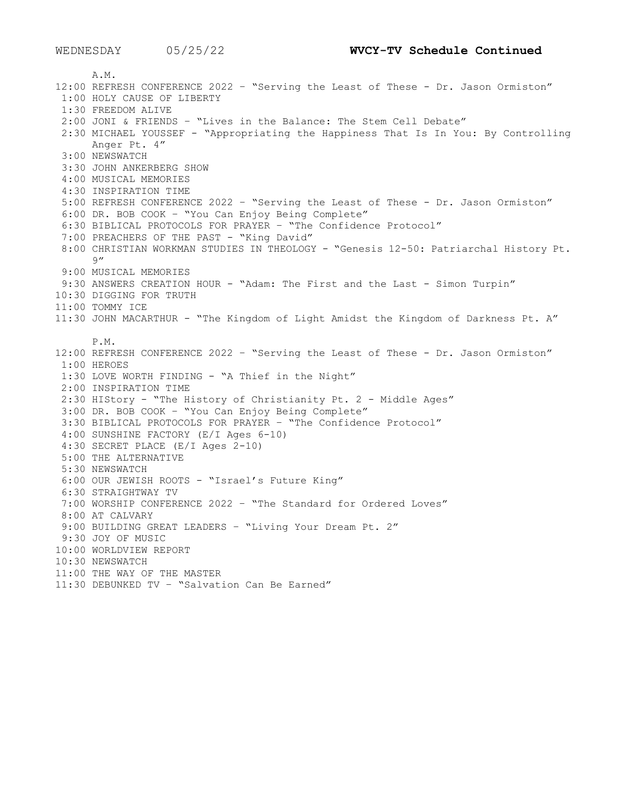A.M. 12:00 REFRESH CONFERENCE 2022 – "Serving the Least of These - Dr. Jason Ormiston" 1:00 HOLY CAUSE OF LIBERTY 1:30 FREEDOM ALIVE 2:00 JONI & FRIENDS – "Lives in the Balance: The Stem Cell Debate" 2:30 MICHAEL YOUSSEF - "Appropriating the Happiness That Is In You: By Controlling Anger Pt. 4" 3:00 NEWSWATCH 3:30 JOHN ANKERBERG SHOW 4:00 MUSICAL MEMORIES 4:30 INSPIRATION TIME 5:00 REFRESH CONFERENCE 2022 – "Serving the Least of These - Dr. Jason Ormiston" 6:00 DR. BOB COOK – "You Can Enjoy Being Complete" 6:30 BIBLICAL PROTOCOLS FOR PRAYER – "The Confidence Protocol" 7:00 PREACHERS OF THE PAST - "King David" 8:00 CHRISTIAN WORKMAN STUDIES IN THEOLOGY - "Genesis 12-50: Patriarchal History Pt. 9" 9:00 MUSICAL MEMORIES 9:30 ANSWERS CREATION HOUR - "Adam: The First and the Last - Simon Turpin" 10:30 DIGGING FOR TRUTH 11:00 TOMMY ICE 11:30 JOHN MACARTHUR - "The Kingdom of Light Amidst the Kingdom of Darkness Pt. A" P.M. 12:00 REFRESH CONFERENCE 2022 – "Serving the Least of These - Dr. Jason Ormiston" 1:00 HEROES 1:30 LOVE WORTH FINDING - "A Thief in the Night" 2:00 INSPIRATION TIME 2:30 HIStory - "The History of Christianity Pt. 2 - Middle Ages" 3:00 DR. BOB COOK – "You Can Enjoy Being Complete" 3:30 BIBLICAL PROTOCOLS FOR PRAYER – "The Confidence Protocol" 4:00 SUNSHINE FACTORY (E/I Ages 6-10) 4:30 SECRET PLACE (E/I Ages 2-10) 5:00 THE ALTERNATIVE 5:30 NEWSWATCH 6:00 OUR JEWISH ROOTS - "Israel's Future King" 6:30 STRAIGHTWAY TV 7:00 WORSHIP CONFERENCE 2022 – "The Standard for Ordered Loves" 8:00 AT CALVARY 9:00 BUILDING GREAT LEADERS – "Living Your Dream Pt. 2" 9:30 JOY OF MUSIC 10:00 WORLDVIEW REPORT 10:30 NEWSWATCH 11:00 THE WAY OF THE MASTER 11:30 DEBUNKED TV – "Salvation Can Be Earned"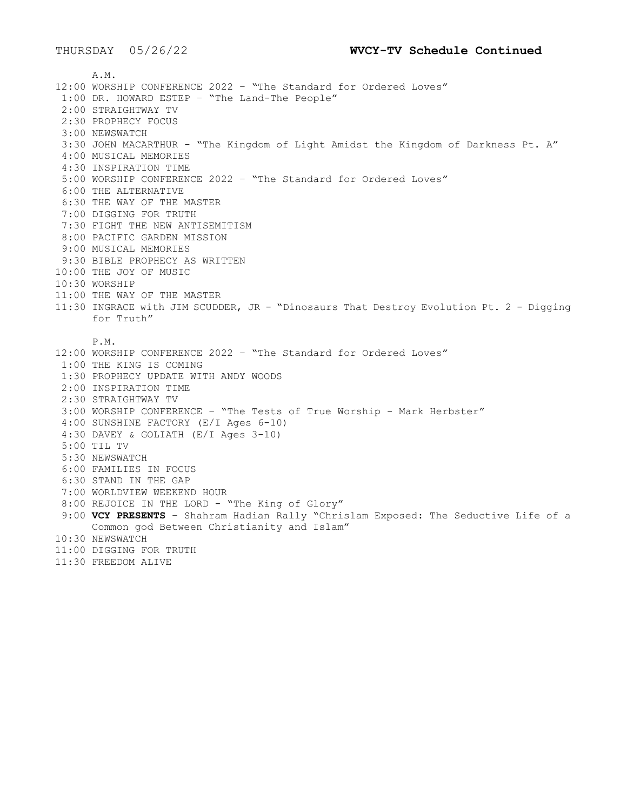A.M. 12:00 WORSHIP CONFERENCE 2022 – "The Standard for Ordered Loves" 1:00 DR. HOWARD ESTEP – "The Land-The People" 2:00 STRAIGHTWAY TV 2:30 PROPHECY FOCUS 3:00 NEWSWATCH 3:30 JOHN MACARTHUR - "The Kingdom of Light Amidst the Kingdom of Darkness Pt. A" 4:00 MUSICAL MEMORIES 4:30 INSPIRATION TIME 5:00 WORSHIP CONFERENCE 2022 – "The Standard for Ordered Loves" 6:00 THE ALTERNATIVE 6:30 THE WAY OF THE MASTER 7:00 DIGGING FOR TRUTH 7:30 FIGHT THE NEW ANTISEMITISM 8:00 PACIFIC GARDEN MISSION 9:00 MUSICAL MEMORIES 9:30 BIBLE PROPHECY AS WRITTEN 10:00 THE JOY OF MUSIC 10:30 WORSHIP 11:00 THE WAY OF THE MASTER 11:30 INGRACE with JIM SCUDDER, JR - "Dinosaurs That Destroy Evolution Pt. 2 - Digging for Truth" P.M. 12:00 WORSHIP CONFERENCE 2022 – "The Standard for Ordered Loves" 1:00 THE KING IS COMING 1:30 PROPHECY UPDATE WITH ANDY WOODS 2:00 INSPIRATION TIME 2:30 STRAIGHTWAY TV 3:00 WORSHIP CONFERENCE – "The Tests of True Worship - Mark Herbster" 4:00 SUNSHINE FACTORY (E/I Ages 6-10) 4:30 DAVEY & GOLIATH (E/I Ages 3-10) 5:00 TIL TV 5:30 NEWSWATCH 6:00 FAMILIES IN FOCUS 6:30 STAND IN THE GAP 7:00 WORLDVIEW WEEKEND HOUR 8:00 REJOICE IN THE LORD - "The King of Glory" 9:00 **VCY PRESENTS** – Shahram Hadian Rally "Chrislam Exposed: The Seductive Life of a Common god Between Christianity and Islam" 10:30 NEWSWATCH 11:00 DIGGING FOR TRUTH 11:30 FREEDOM ALIVE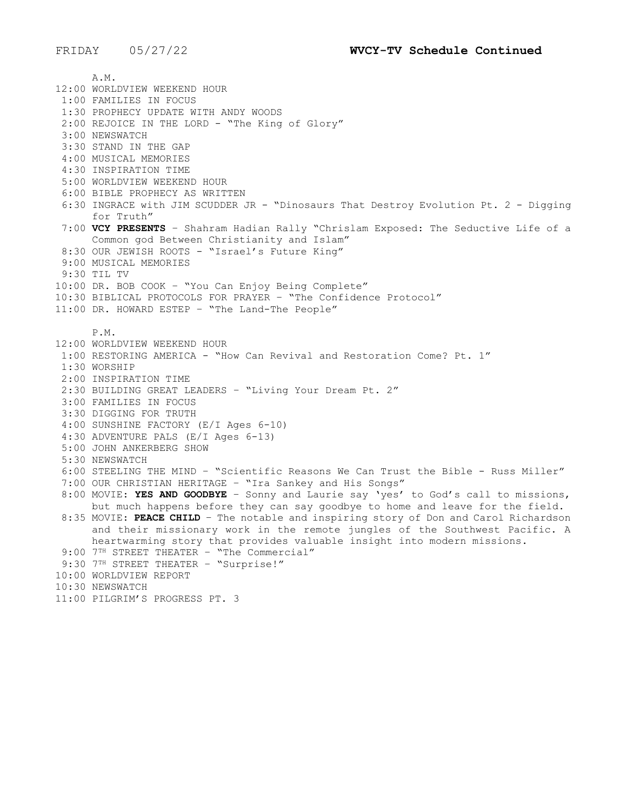A.M. 12:00 WORLDVIEW WEEKEND HOUR 1:00 FAMILIES IN FOCUS 1:30 PROPHECY UPDATE WITH ANDY WOODS 2:00 REJOICE IN THE LORD - "The King of Glory" 3:00 NEWSWATCH 3:30 STAND IN THE GAP 4:00 MUSICAL MEMORIES 4:30 INSPIRATION TIME 5:00 WORLDVIEW WEEKEND HOUR 6:00 BIBLE PROPHECY AS WRITTEN 6:30 INGRACE with JIM SCUDDER JR - "Dinosaurs That Destroy Evolution Pt. 2 - Digging for Truth" 7:00 **VCY PRESENTS** – Shahram Hadian Rally "Chrislam Exposed: The Seductive Life of a Common god Between Christianity and Islam" 8:30 OUR JEWISH ROOTS - "Israel's Future King" 9:00 MUSICAL MEMORIES 9:30 TIL TV 10:00 DR. BOB COOK – "You Can Enjoy Being Complete" 10:30 BIBLICAL PROTOCOLS FOR PRAYER – "The Confidence Protocol" 11:00 DR. HOWARD ESTEP – "The Land-The People" P.M. 12:00 WORLDVIEW WEEKEND HOUR 1:00 RESTORING AMERICA - "How Can Revival and Restoration Come? Pt. 1" 1:30 WORSHIP 2:00 INSPIRATION TIME 2:30 BUILDING GREAT LEADERS – "Living Your Dream Pt. 2" 3:00 FAMILIES IN FOCUS 3:30 DIGGING FOR TRUTH 4:00 SUNSHINE FACTORY (E/I Ages 6-10) 4:30 ADVENTURE PALS (E/I Ages 6-13) 5:00 JOHN ANKERBERG SHOW 5:30 NEWSWATCH 6:00 STEELING THE MIND – "Scientific Reasons We Can Trust the Bible - Russ Miller" 7:00 OUR CHRISTIAN HERITAGE – "Ira Sankey and His Songs" 8:00 MOVIE: **YES AND GOODBYE** – Sonny and Laurie say 'yes' to God's call to missions, but much happens before they can say goodbye to home and leave for the field. 8:35 MOVIE: **PEACE CHILD** – The notable and inspiring story of Don and Carol Richardson and their missionary work in the remote jungles of the Southwest Pacific. A heartwarming story that provides valuable insight into modern missions. 9:00 7<sup>TH</sup> STREET THEATER - "The Commercial" 9:30 7TH STREET THEATER - "Surprise!" 10:00 WORLDVIEW REPORT 10:30 NEWSWATCH 11:00 PILGRIM'S PROGRESS PT. 3